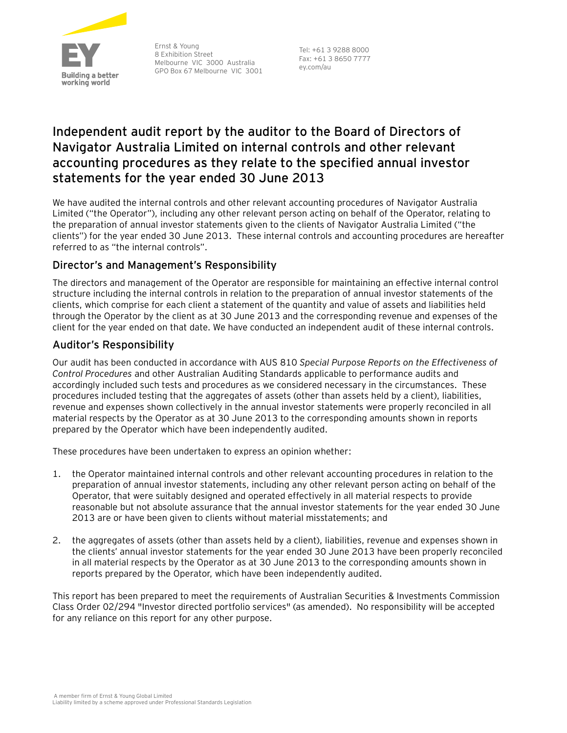

Ernst & Young 8 Exhibition Street Melbourne VIC 3000 Australia GPO Box 67 Melbourne VIC 3001

Tel: +61 3 9288 8000 Fax: +61 3 8650 7777 ey.com/au

# **Independent audit report by the auditor to the Board of Directors of Navigator Australia Limited on internal controls and other relevant accounting procedures as they relate to the specified annual investor statements for the year ended 30 June 2013**

We have audited the internal controls and other relevant accounting procedures of Navigator Australia Limited ("the Operator"), including any other relevant person acting on behalf of the Operator, relating to the preparation of annual investor statements given to the clients of Navigator Australia Limited ("the clients") for the year ended 30 June 2013. These internal controls and accounting procedures are hereafter referred to as "the internal controls".

## Director's and Management's Responsibility

The directors and management of the Operator are responsible for maintaining an effective internal control structure including the internal controls in relation to the preparation of annual investor statements of the clients, which comprise for each client a statement of the quantity and value of assets and liabilities held through the Operator by the client as at 30 June 2013 and the corresponding revenue and expenses of the client for the year ended on that date. We have conducted an independent audit of these internal controls.

## Auditor's Responsibility

Our audit has been conducted in accordance with AUS 810 *Special Purpose Reports on the Effectiveness of Control Procedures* and other Australian Auditing Standards applicable to performance audits and accordingly included such tests and procedures as we considered necessary in the circumstances. These procedures included testing that the aggregates of assets (other than assets held by a client), liabilities, revenue and expenses shown collectively in the annual investor statements were properly reconciled in all material respects by the Operator as at 30 June 2013 to the corresponding amounts shown in reports prepared by the Operator which have been independently audited.

These procedures have been undertaken to express an opinion whether:

- 1. the Operator maintained internal controls and other relevant accounting procedures in relation to the preparation of annual investor statements, including any other relevant person acting on behalf of the Operator, that were suitably designed and operated effectively in all material respects to provide reasonable but not absolute assurance that the annual investor statements for the year ended 30 June 2013 are or have been given to clients without material misstatements; and
- 2. the aggregates of assets (other than assets held by a client), liabilities, revenue and expenses shown in the clients' annual investor statements for the year ended 30 June 2013 have been properly reconciled in all material respects by the Operator as at 30 June 2013 to the corresponding amounts shown in reports prepared by the Operator, which have been independently audited.

This report has been prepared to meet the requirements of Australian Securities & Investments Commission Class Order 02/294 "Investor directed portfolio services" (as amended). No responsibility will be accepted for any reliance on this report for any other purpose.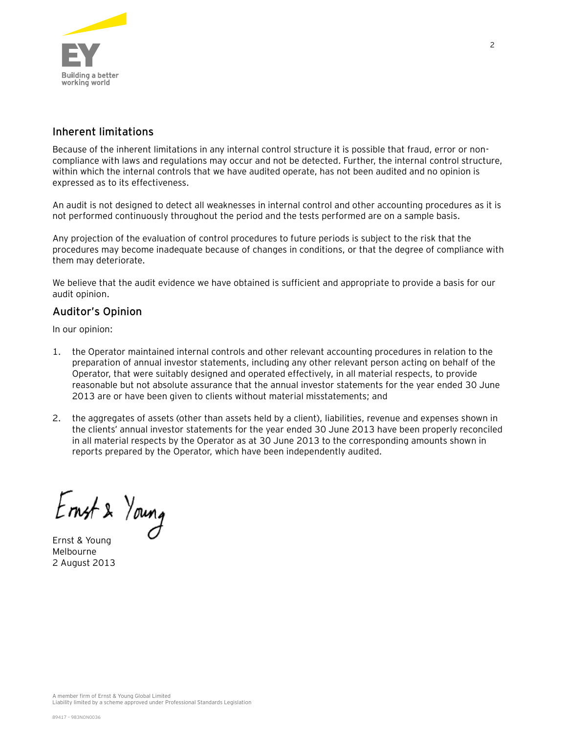

## Inherent limitations

Because of the inherent limitations in any internal control structure it is possible that fraud, error or noncompliance with laws and regulations may occur and not be detected. Further, the internal control structure, within which the internal controls that we have audited operate, has not been audited and no opinion is expressed as to its effectiveness.

An audit is not designed to detect all weaknesses in internal control and other accounting procedures as it is not performed continuously throughout the period and the tests performed are on a sample basis.

Any projection of the evaluation of control procedures to future periods is subject to the risk that the procedures may become inadequate because of changes in conditions, or that the degree of compliance with them may deteriorate.

We believe that the audit evidence we have obtained is sufficient and appropriate to provide a basis for our audit opinion.

### Auditor's Opinion

In our opinion:

- 1. the Operator maintained internal controls and other relevant accounting procedures in relation to the preparation of annual investor statements, including any other relevant person acting on behalf of the Operator, that were suitably designed and operated effectively, in all material respects, to provide reasonable but not absolute assurance that the annual investor statements for the year ended 30 June 2013 are or have been given to clients without material misstatements; and
- 2. the aggregates of assets (other than assets held by a client), liabilities, revenue and expenses shown in the clients' annual investor statements for the year ended 30 June 2013 have been properly reconciled in all material respects by the Operator as at 30 June 2013 to the corresponding amounts shown in reports prepared by the Operator, which have been independently audited.

Ernst & Young

Melbourne 2 August 2013

Liability limited by a scheme approved under Professional Standards Legislation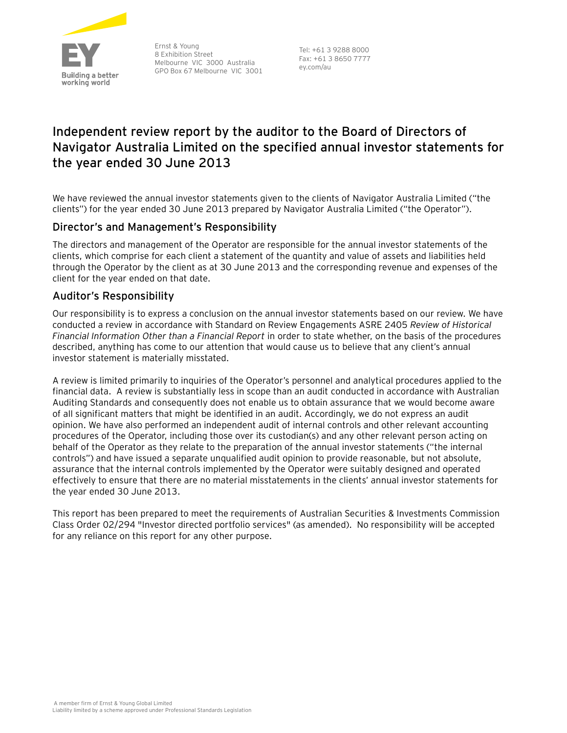

Ernst & Young 8 Exhibition Street Melbourne VIC 3000 Australia GPO Box 67 Melbourne VIC 3001

Tel: +61 3 9288 8000 Fax: +61 3 8650 7777 ey.com/au

# **Independent review report by the auditor to the Board of Directors of Navigator Australia Limited on the specified annual investor statements for the year ended 30 June 2013**

We have reviewed the annual investor statements given to the clients of Navigator Australia Limited ("the clients") for the year ended 30 June 2013 prepared by Navigator Australia Limited ("the Operator").

## Director's and Management's Responsibility

The directors and management of the Operator are responsible for the annual investor statements of the clients, which comprise for each client a statement of the quantity and value of assets and liabilities held through the Operator by the client as at 30 June 2013 and the corresponding revenue and expenses of the client for the year ended on that date.

### Auditor's Responsibility

Our responsibility is to express a conclusion on the annual investor statements based on our review. We have conducted a review in accordance with Standard on Review Engagements ASRE 2405 *Review of Historical Financial Information Other than a Financial Report* in order to state whether, on the basis of the procedures described, anything has come to our attention that would cause us to believe that any client's annual investor statement is materially misstated.

A review is limited primarily to inquiries of the Operator's personnel and analytical procedures applied to the financial data. A review is substantially less in scope than an audit conducted in accordance with Australian Auditing Standards and consequently does not enable us to obtain assurance that we would become aware of all significant matters that might be identified in an audit. Accordingly, we do not express an audit opinion. We have also performed an independent audit of internal controls and other relevant accounting procedures of the Operator, including those over its custodian(s) and any other relevant person acting on behalf of the Operator as they relate to the preparation of the annual investor statements ("the internal controls") and have issued a separate unqualified audit opinion to provide reasonable, but not absolute, assurance that the internal controls implemented by the Operator were suitably designed and operated effectively to ensure that there are no material misstatements in the clients' annual investor statements for the year ended 30 June 2013.

This report has been prepared to meet the requirements of Australian Securities & Investments Commission Class Order 02/294 "Investor directed portfolio services" (as amended). No responsibility will be accepted for any reliance on this report for any other purpose.